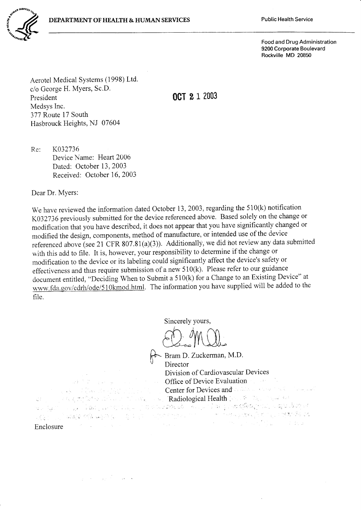

Food and Drug Administration 9200 Corporate Boulevard Rockville MD 20850

Aerotel Medical Systems (1998) Ltd. c/o George H. Myers, Sc.D. President Medsys Inc. 377 Route 17 South Hasbrouck Heights, NJ 07604

ocT 2 I 2003

Re: K032736 Device Name: Heart 2006 Dated: October 13,2003 Received: October 16, 2003

Dear Dr. Myers:

We have reviewed the information dated October 13, 2003, regarding the  $510(k)$  notification K032736 previously submitted for the device referenced above. Based solely on the change or modification that you have described, it does not appear that you have significantlv changed or modified the design, components, method of manufacture, or intended use of the device referenced above (see 21 CFR 807.81(a)(3)). Additionally, we did not review any data submitted with this add to file. It is, however, your responsibility to determine if the change or modification to the device or its labeling could significantly affect the device's safety or effectiveness and thus require submission of a new  $510(k)$ . Please refer to our guidance document entitled, "Deciding When to Submit a 510(k) for a Change to an Existing Device" at www.fda.gov/cdrh/ode/510kmod.html. The information you have supplied will be added to the file.

Sincerely yours,

Bram D. Zuckerman, M.D. **Director** Division of Cardiovascular Devices Office of Device Evaluation Center for Devices and Collaboration of the Company Radiological Health **Radiological** Enclosure

ACS STATE

San Miller Care and 计文献 计算器 医环境病毒

 $\mathcal{L}^{\text{max}}_{\text{max}}$ 

 $\label{eq:3} \mathcal{L} \mathcal{L} \mathcal{L}_{\mathcal{X}} \mathcal{L}_{\mathcal{L}} \mathcal{L} \mathcal{L}_{\mathcal{L}} \mathcal{L}_{\mathcal{L}}$